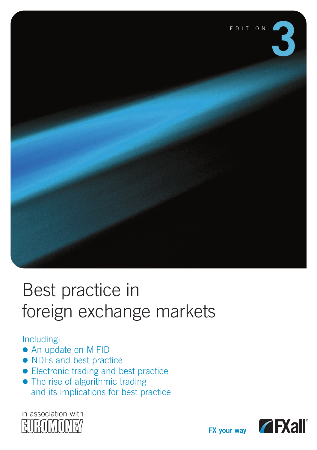

# Best practice in foreign exchange markets

#### Including:

- An update on MiFID
- NDFs and best practice
- Electronic trading and best practice
- The rise of algorithmic trading and its implications for best practice



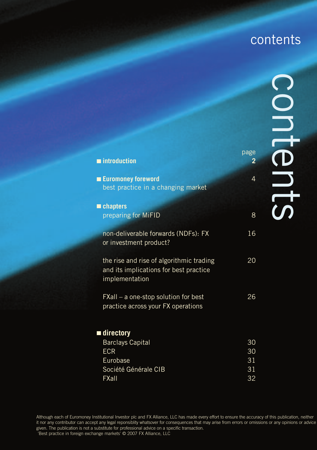### contents

| $\blacksquare$ introduction                                                                          | page<br>2 |
|------------------------------------------------------------------------------------------------------|-----------|
| <b>Euromoney foreword</b><br>best practice in a changing market                                      | 4         |
| $\blacksquare$ chapters                                                                              |           |
| preparing for MiFID                                                                                  | 8         |
| non-deliverable forwards (NDFs): FX<br>or investment product?                                        | 16        |
| the rise and rise of algorithmic trading<br>and its implications for best practice<br>implementation | 20        |
| FXall – a one-stop solution for best<br>practice across your FX operations                           | 26        |
| ■ directory                                                                                          |           |
| <b>Barclays Capital</b><br><b>ECR</b>                                                                | 30<br>30  |
| Eurobase                                                                                             | 31        |
| Société Générale CIB                                                                                 | 31        |
| FXall                                                                                                | 32        |

Although each of Euromoney Institutional Investor plc and FX Alliance, LLC has made every effort to ensure the accuracy of this publication, neither<br>it nor any contributor can accept any legal reponsiblity whatsover for co given. The publication is not a substitute for professional advice on a specific transaction.

'Best practice in foreign exchange markets' © 2007 FX Alliance, LLC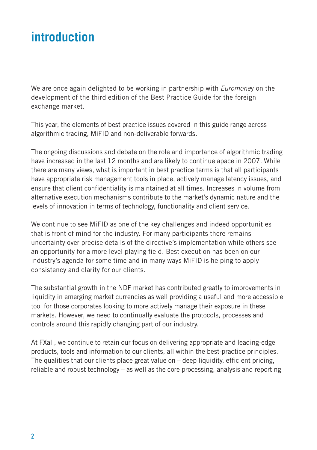### **introduction**

We are once again delighted to be working in partnership with *Euromone*y on the development of the third edition of the Best Practice Guide for the foreign exchange market.

This year, the elements of best practice issues covered in this guide range across algorithmic trading, MiFID and non-deliverable forwards.

The ongoing discussions and debate on the role and importance of algorithmic trading have increased in the last 12 months and are likely to continue apace in 2007. While there are many views, what is important in best practice terms is that all participants have appropriate risk management tools in place, actively manage latency issues, and ensure that client confidentiality is maintained at all times. Increases in volume from alternative execution mechanisms contribute to the market's dynamic nature and the levels of innovation in terms of technology, functionality and client service.

We continue to see MiFID as one of the key challenges and indeed opportunities that is front of mind for the industry. For many participants there remains uncertainty over precise details of the directive's implementation while others see an opportunity for a more level playing field. Best execution has been on our industry's agenda for some time and in many ways MiFID is helping to apply consistency and clarity for our clients.

The substantial growth in the NDF market has contributed greatly to improvements in liquidity in emerging market currencies as well providing a useful and more accessible tool for those corporates looking to more actively manage their exposure in these markets. However, we need to continually evaluate the protocols, processes and controls around this rapidly changing part of our industry.

At FXall, we continue to retain our focus on delivering appropriate and leading-edge products, tools and information to our clients, all within the best-practice principles. The qualities that our clients place great value on  $-$  deep liquidity, efficient pricing, reliable and robust technology – as well as the core processing, analysis and reporting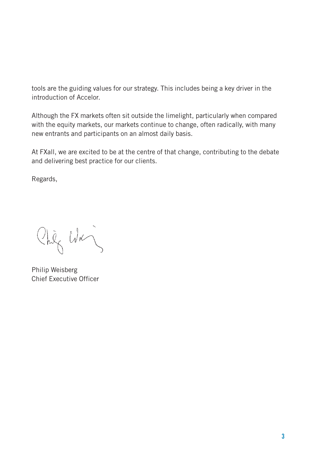tools are the guiding values for our strategy. This includes being a key driver in the introduction of Accelor.

Although the FX markets often sit outside the limelight, particularly when compared with the equity markets, our markets continue to change, often radically, with many new entrants and participants on an almost daily basis.

At FXall, we are excited to be at the centre of that change, contributing to the debate and delivering best practice for our clients.

Regards,

Chiz Was

Philip Weisberg Chief Executive Officer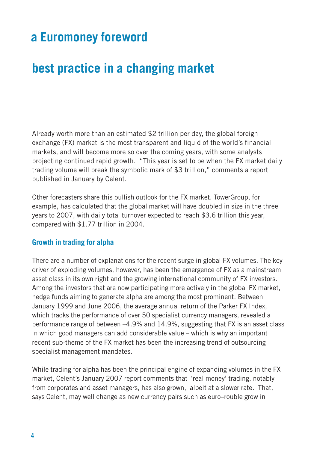### **a Euromoney foreword**

### **best practice in a changing market**

Already worth more than an estimated \$2 trillion per day, the global foreign exchange (FX) market is the most transparent and liquid of the world's financial markets, and will become more so over the coming years, with some analysts projecting continued rapid growth. "This year is set to be when the FX market daily trading volume will break the symbolic mark of \$3 trillion," comments a report published in January by Celent.

Other forecasters share this bullish outlook for the FX market. TowerGroup, for example, has calculated that the global market will have doubled in size in the three years to 2007, with daily total turnover expected to reach \$3.6 trillion this year, compared with \$1.77 trillion in 2004.

#### **Growth in trading for alpha**

There are a number of explanations for the recent surge in global FX volumes. The key driver of exploding volumes, however, has been the emergence of FX as a mainstream asset class in its own right and the growing international community of FX investors. Among the investors that are now participating more actively in the global FX market, hedge funds aiming to generate alpha are among the most prominent. Between January 1999 and June 2006, the average annual return of the Parker FX Index, which tracks the performance of over 50 specialist currency managers, revealed a performance range of between –4.9% and 14.9%, suggesting that FX is an asset class in which good managers can add considerable value – which is why an important recent sub-theme of the FX market has been the increasing trend of outsourcing specialist management mandates.

While trading for alpha has been the principal engine of expanding volumes in the FX market, Celent's January 2007 report comments that 'real money' trading, notably from corporates and asset managers, has also grown, albeit at a slower rate. That, says Celent, may well change as new currency pairs such as euro–rouble grow in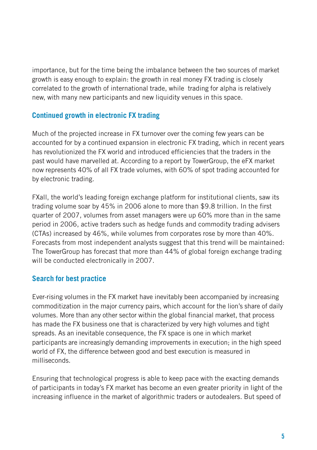importance, but for the time being the imbalance between the two sources of market growth is easy enough to explain: the growth in real money FX trading is closely correlated to the growth of international trade, while trading for alpha is relatively new, with many new participants and new liquidity venues in this space.

#### **Continued growth in electronic FX trading**

Much of the projected increase in FX turnover over the coming few years can be accounted for by a continued expansion in electronic FX trading, which in recent years has revolutionized the FX world and introduced efficiencies that the traders in the past would have marvelled at. According to a report by TowerGroup, the eFX market now represents 40% of all FX trade volumes, with 60% of spot trading accounted for by electronic trading.

FXall, the world's leading foreign exchange platform for institutional clients, saw its trading volume soar by 45% in 2006 alone to more than \$9.8 trillion. In the first quarter of 2007, volumes from asset managers were up 60% more than in the same period in 2006, active traders such as hedge funds and commodity trading advisers (CTAs) increased by 46%, while volumes from corporates rose by more than 40%. Forecasts from most independent analysts suggest that this trend will be maintained: The TowerGroup has forecast that more than 44% of global foreign exchange trading will be conducted electronically in 2007.

#### **Search for best practice**

Ever-rising volumes in the FX market have inevitably been accompanied by increasing commoditization in the major currency pairs, which account for the lion's share of daily volumes. More than any other sector within the global financial market, that process has made the FX business one that is characterized by very high volumes and tight spreads. As an inevitable consequence, the FX space is one in which market participants are increasingly demanding improvements in execution; in the high speed world of FX, the difference between good and best execution is measured in milliseconds.

Ensuring that technological progress is able to keep pace with the exacting demands of participants in today's FX market has become an even greater priority in light of the increasing influence in the market of algorithmic traders or autodealers. But speed of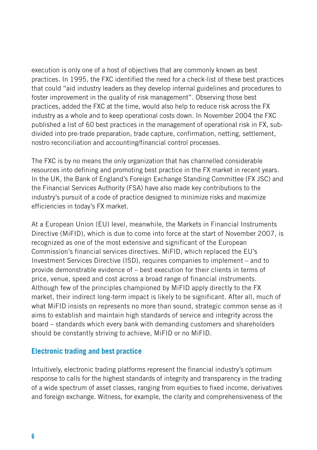execution is only one of a host of objectives that are commonly known as best practices. In 1995, the FXC identified the need for a check-list of these best practices that could "aid industry leaders as they develop internal guidelines and procedures to foster improvement in the quality of risk management". Observing those best practices, added the FXC at the time, would also help to reduce risk across the FX industry as a whole and to keep operational costs down. In November 2004 the FXC published a list of 60 best practices in the management of operational risk in FX, subdivided into pre-trade preparation, trade capture, confirmation, netting, settlement, nostro reconciliation and accounting/financial control processes.

The FXC is by no means the only organization that has channelled considerable resources into defining and promoting best practice in the FX market in recent years. In the UK, the Bank of England's Foreign Exchange Standing Committee (FX JSC) and the Financial Services Authority (FSA) have also made key contributions to the industry's pursuit of a code of practice designed to minimize risks and maximize efficiencies in today's FX market.

At a European Union (EU) level, meanwhile, the Markets in Financial Instruments Directive (MiFID), which is due to come into force at the start of November 2007, is recognized as one of the most extensive and significant of the European Commission's financial services directives. MiFID, which replaced the EU's Investment Services Directive (ISD), requires companies to implement – and to provide demonstrable evidence of – best execution for their clients in terms of price, venue, speed and cost across a broad range of financial instruments. Although few of the principles championed by MiFID apply directly to the FX market, their indirect long-term impact is likely to be significant. After all, much of what MiFID insists on represents no more than sound, strategic common sense as it aims to establish and maintain high standards of service and integrity across the board – standards which every bank with demanding customers and shareholders should be constantly striving to achieve, MiFID or no MiFID.

#### **Electronic trading and best practice**

Intuitively, electronic trading platforms represent the financial industry's optimum response to calls for the highest standards of integrity and transparency in the trading of a wide spectrum of asset classes, ranging from equities to fixed income, derivatives and foreign exchange. Witness, for example, the clarity and comprehensiveness of the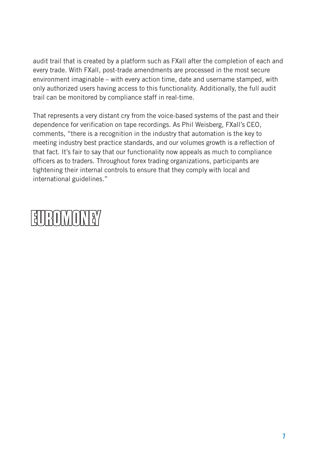audit trail that is created by a platform such as FXall after the completion of each and every trade. With FXall, post-trade amendments are processed in the most secure environment imaginable – with every action time, date and username stamped, with only authorized users having access to this functionality. Additionally, the full audit trail can be monitored by compliance staff in real-time.

That represents a very distant cry from the voice-based systems of the past and their dependence for verification on tape recordings. As Phil Weisberg, FXall's CEO, comments, "there is a recognition in the industry that automation is the key to meeting industry best practice standards, and our volumes growth is a reflection of that fact. It's fair to say that our functionality now appeals as much to compliance officers as to traders. Throughout forex trading organizations, participants are tightening their internal controls to ensure that they comply with local and international guidelines."

# EUROMONEY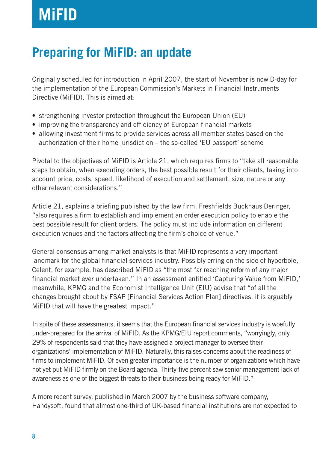### **Preparing for MiFID: an update**

Originally scheduled for introduction in April 2007, the start of November is now D-day for the implementation of the European Commission's Markets in Financial Instruments Directive (MiFID). This is aimed at:

- strengthening investor protection throughout the European Union (EU)
- improving the transparency and efficiency of European financial markets
- allowing investment firms to provide services across all member states based on the authorization of their home jurisdiction – the so-called 'EU passport' scheme

Pivotal to the objectives of MiFID is Article 21, which requires firms to "take all reasonable steps to obtain, when executing orders, the best possible result for their clients, taking into account price, costs, speed, likelihood of execution and settlement, size, nature or any other relevant considerations."

Article 21, explains a briefing published by the law firm, Freshfields Buckhaus Deringer, "also requires a firm to establish and implement an order execution policy to enable the best possible result for client orders. The policy must include information on different execution venues and the factors affecting the firm's choice of venue."

General consensus among market analysts is that MiFID represents a very important landmark for the global financial services industry. Possibly erring on the side of hyperbole, Celent, for example, has described MiFID as "the most far reaching reform of any major financial market ever undertaken." In an assessment entitled 'Capturing Value from MiFID,' meanwhile, KPMG and the Economist Intelligence Unit (EIU) advise that "of all the changes brought about by FSAP [Financial Services Action Plan] directives, it is arguably MiFID that will have the greatest impact."

In spite of these assessments, it seems that the European financial services industry is woefully under-prepared for the arrival of MiFID. As the KPMG/EIU report comments, "worryingly, only 29% of respondents said that they have assigned a project manager to oversee their organizations' implementation of MiFID. Naturally, this raises concerns about the readiness of firms to implement MiFID. Of even greater importance is the number of organizations which have not yet put MiFID firmly on the Board agenda. Thirty-five percent saw senior management lack of awareness as one of the biggest threats to their business being ready for MiFID."

A more recent survey, published in March 2007 by the business software company, Handysoft, found that almost one-third of UK-based financial institutions are not expected to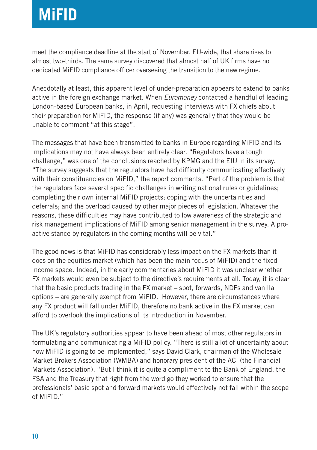## **MiFID**

meet the compliance deadline at the start of November. EU-wide, that share rises to almost two-thirds. The same survey discovered that almost half of UK firms have no dedicated MiFID compliance officer overseeing the transition to the new regime.

Anecdotally at least, this apparent level of under-preparation appears to extend to banks active in the foreign exchange market. When *Euromoney* contacted a handful of leading London-based European banks, in April, requesting interviews with FX chiefs about their preparation for MiFID, the response (if any) was generally that they would be unable to comment "at this stage".

The messages that have been transmitted to banks in Europe regarding MiFID and its implications may not have always been entirely clear. "Regulators have a tough challenge," was one of the conclusions reached by KPMG and the EIU in its survey. "The survey suggests that the regulators have had difficulty communicating effectively with their constituencies on MiFID," the report comments. "Part of the problem is that the regulators face several specific challenges in writing national rules or guidelines; completing their own internal MiFID projects; coping with the uncertainties and deferrals; and the overload caused by other major pieces of legislation. Whatever the reasons, these difficulties may have contributed to low awareness of the strategic and risk management implications of MiFID among senior management in the survey. A proactive stance by regulators in the coming months will be vital."

The good news is that MiFID has considerably less impact on the FX markets than it does on the equities market (which has been the main focus of MiFID) and the fixed income space. Indeed, in the early commentaries about MiFID it was unclear whether FX markets would even be subject to the directive's requirements at all. Today, it is clear that the basic products trading in the FX market – spot, forwards, NDFs and vanilla options – are generally exempt from MiFID. However, there are circumstances where any FX product will fall under MiFID, therefore no bank active in the FX market can afford to overlook the implications of its introduction in November.

The UK's regulatory authorities appear to have been ahead of most other regulators in formulating and communicating a MiFID policy. "There is still a lot of uncertainty about how MiFID is going to be implemented," says David Clark, chairman of the Wholesale Market Brokers Association (WMBA) and honorary president of the ACI (the Financial Markets Association). "But I think it is quite a compliment to the Bank of England, the FSA and the Treasury that right from the word go they worked to ensure that the professionals' basic spot and forward markets would effectively not fall within the scope of MiFID."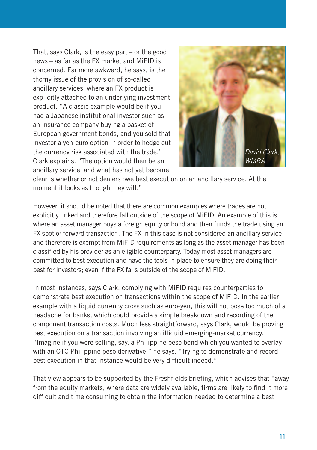That, says Clark, is the easy part – or the good news – as far as the FX market and MiFID is concerned. Far more awkward, he says, is the thorny issue of the provision of so-called ancillary services, where an FX product is explicitly attached to an underlying investment product. "A classic example would be if you had a Japanese institutional investor such as an insurance company buying a basket of European government bonds, and you sold that investor a yen-euro option in order to hedge out the currency risk associated with the trade," Clark explains. "The option would then be an ancillary service, and what has not yet become



clear is whether or not dealers owe best execution on an ancillary service. At the moment it looks as though they will."

However, it should be noted that there are common examples where trades are not explicitly linked and therefore fall outside of the scope of MiFID. An example of this is where an asset manager buys a foreign equity or bond and then funds the trade using an FX spot or forward transaction. The FX in this case is not considered an ancillary service and therefore is exempt from MiFID requirements as long as the asset manager has been classified by his provider as an eligible counterparty. Today most asset managers are committed to best execution and have the tools in place to ensure they are doing their best for investors; even if the FX falls outside of the scope of MiFID.

In most instances, says Clark, complying with MiFID requires counterparties to demonstrate best execution on transactions within the scope of MiFID. In the earlier example with a liquid currency cross such as euro-yen, this will not pose too much of a headache for banks, which could provide a simple breakdown and recording of the component transaction costs. Much less straightforward, says Clark, would be proving best execution on a transaction involving an illiquid emerging-market currency. "Imagine if you were selling, say, a Philippine peso bond which you wanted to overlay with an OTC Philippine peso derivative," he says. "Trying to demonstrate and record best execution in that instance would be very difficult indeed."

That view appears to be supported by the Freshfields briefing, which advises that "away from the equity markets, where data are widely available, firms are likely to find it more difficult and time consuming to obtain the information needed to determine a best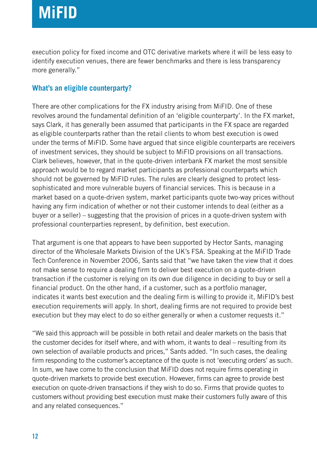execution policy for fixed income and OTC derivative markets where it will be less easy to identify execution venues, there are fewer benchmarks and there is less transparency more generally."

#### **What's an eligible counterparty?**

There are other complications for the FX industry arising from MiFID. One of these revolves around the fundamental definition of an 'eligible counterparty'. In the FX market, says Clark, it has generally been assumed that participants in the FX space are regarded as eligible counterparts rather than the retail clients to whom best execution is owed under the terms of MiFID. Some have argued that since eligible counterparts are receivers of investment services, they should be subject to MiFID provisions on all transactions. Clark believes, however, that in the quote-driven interbank FX market the most sensible approach would be to regard market participants as professional counterparts which should not be governed by MiFID rules. The rules are clearly designed to protect lesssophisticated and more vulnerable buyers of financial services. This is because in a market based on a quote-driven system, market participants quote two-way prices without having any firm indication of whether or not their customer intends to deal (either as a buyer or a seller) – suggesting that the provision of prices in a quote-driven system with professional counterparties represent, by definition, best execution.

That argument is one that appears to have been supported by Hector Sants, managing director of the Wholesale Markets Division of the UK's FSA. Speaking at the MiFID Trade Tech Conference in November 2006, Sants said that "we have taken the view that it does not make sense to require a dealing firm to deliver best execution on a quote-driven transaction if the customer is relying on its own due diligence in deciding to buy or sell a financial product. On the other hand, if a customer, such as a portfolio manager, indicates it wants best execution and the dealing firm is willing to provide it, MiFID's best execution requirements will apply. In short, dealing firms are not required to provide best execution but they may elect to do so either generally or when a customer requests it."

"We said this approach will be possible in both retail and dealer markets on the basis that the customer decides for itself where, and with whom, it wants to deal – resulting from its own selection of available products and prices," Sants added. "In such cases, the dealing firm responding to the customer's acceptance of the quote is not 'executing orders' as such. In sum, we have come to the conclusion that MiFID does not require firms operating in quote-driven markets to provide best execution. However, firms can agree to provide best execution on quote-driven transactions if they wish to do so. Firms that provide quotes to customers without providing best execution must make their customers fully aware of this and any related consequences."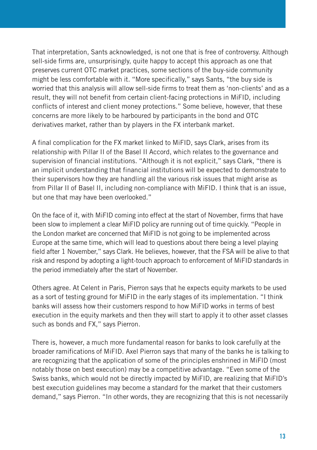That interpretation, Sants acknowledged, is not one that is free of controversy. Although sell-side firms are, unsurprisingly, quite happy to accept this approach as one that preserves current OTC market practices, some sections of the buy-side community might be less comfortable with it. "More specifically," says Sants, "the buy side is worried that this analysis will allow sell-side firms to treat them as 'non-clients' and as a result, they will not benefit from certain client-facing protections in MiFID, including conflicts of interest and client money protections." Some believe, however, that these concerns are more likely to be harboured by participants in the bond and OTC derivatives market, rather than by players in the FX interbank market.

A final complication for the FX market linked to MiFID, says Clark, arises from its relationship with Pillar II of the Basel II Accord, which relates to the governance and supervision of financial institutions. "Although it is not explicit," says Clark, "there is an implicit understanding that financial institutions will be expected to demonstrate to their supervisors how they are handling all the various risk issues that might arise as from Pillar II of Basel II, including non-compliance with MiFID. I think that is an issue, but one that may have been overlooked."

On the face of it, with MiFID coming into effect at the start of November, firms that have been slow to implement a clear MiFID policy are running out of time quickly. "People in the London market are concerned that MiFID is not going to be implemented across Europe at the same time, which will lead to questions about there being a level playing field after 1 November," says Clark. He believes, however, that the FSA will be alive to that risk and respond by adopting a light-touch approach to enforcement of MiFID standards in the period immediately after the start of November.

Others agree. At Celent in Paris, Pierron says that he expects equity markets to be used as a sort of testing ground for MiFID in the early stages of its implementation. "I think banks will assess how their customers respond to how MiFID works in terms of best execution in the equity markets and then they will start to apply it to other asset classes such as bonds and FX," says Pierron.

There is, however, a much more fundamental reason for banks to look carefully at the broader ramifications of MiFID. Axel Pierron says that many of the banks he is talking to are recognizing that the application of some of the principles enshrined in MiFID (most notably those on best execution) may be a competitive advantage. "Even some of the Swiss banks, which would not be directly impacted by MiFID, are realizing that MiFID's best execution guidelines may become a standard for the market that their customers demand," says Pierron. "In other words, they are recognizing that this is not necessarily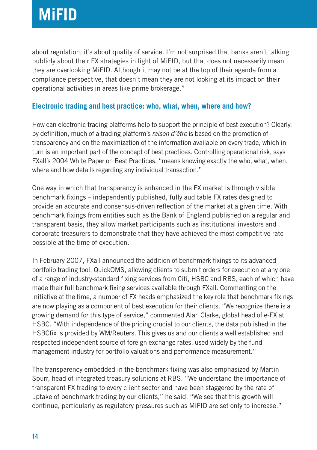about regulation; it's about quality of service. I'm not surprised that banks aren't talking publicly about their FX strategies in light of MiFID, but that does not necessarily mean they are overlooking MiFID. Although it may not be at the top of their agenda from a compliance perspective, that doesn't mean they are not looking at its impact on their operational activities in areas like prime brokerage."

#### **Electronic trading and best practice: who, what, when, where and how?**

How can electronic trading platforms help to support the principle of best execution? Clearly, by definition, much of a trading platform's raison d'être is based on the promotion of transparency and on the maximization of the information available on every trade, which in turn is an important part of the concept of best practices. Controlling operational risk, says FXall's 2004 White Paper on Best Practices, "means knowing exactly the who, what, when, where and how details regarding any individual transaction."

One way in which that transparency is enhanced in the FX market is through visible benchmark fixings – independently published, fully auditable FX rates designed to provide an accurate and consensus-driven reflection of the market at a given time. With benchmark fixings from entities such as the Bank of England published on a regular and transparent basis, they allow market participants such as institutional investors and corporate treasurers to demonstrate that they have achieved the most competitive rate possible at the time of execution.

In February 2007, FXall announced the addition of benchmark fixings to its advanced portfolio trading tool, QuickOMS, allowing clients to submit orders for execution at any one of a range of industry-standard fixing services from Citi, HSBC and RBS, each of which have made their full benchmark fixing services available through FXall. Commenting on the initiative at the time, a number of FX heads emphasized the key role that benchmark fixings are now playing as a component of best execution for their clients. "We recognize there is a growing demand for this type of service," commented Alan Clarke, global head of e-FX at HSBC. "With independence of the pricing crucial to our clients, the data published in the HSBCfix is provided by WM/Reuters. This gives us and our clients a well established and respected independent source of foreign exchange rates, used widely by the fund management industry for portfolio valuations and performance measurement."

The transparency embedded in the benchmark fixing was also emphasized by Martin Spurr, head of integrated treasury solutions at RBS. "We understand the importance of transparent FX trading to every client sector and have been staggered by the rate of uptake of benchmark trading by our clients," he said. "We see that this growth will continue, particularly as regulatory pressures such as MiFID are set only to increase."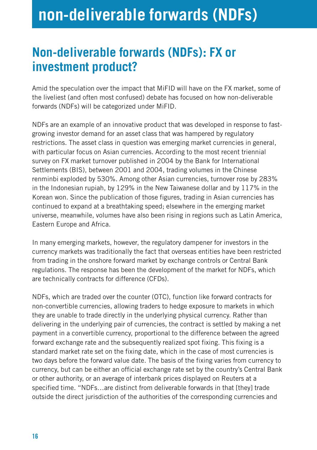### **Non-deliverable forwards (NDFs): FX or investment product?**

Amid the speculation over the impact that MiFID will have on the FX market, some of the liveliest (and often most confused) debate has focused on how non-deliverable forwards (NDFs) will be categorized under MiFID.

NDFs are an example of an innovative product that was developed in response to fastgrowing investor demand for an asset class that was hampered by regulatory restrictions. The asset class in question was emerging market currencies in general, with particular focus on Asian currencies. According to the most recent triennial survey on FX market turnover published in 2004 by the Bank for International Settlements (BIS), between 2001 and 2004, trading volumes in the Chinese renminbi exploded by 530%. Among other Asian currencies, turnover rose by 283% in the Indonesian rupiah, by 129% in the New Taiwanese dollar and by 117% in the Korean won. Since the publication of those figures, trading in Asian currencies has continued to expand at a breathtaking speed; elsewhere in the emerging market universe, meanwhile, volumes have also been rising in regions such as Latin America, Eastern Europe and Africa.

In many emerging markets, however, the regulatory dampener for investors in the currency markets was traditionally the fact that overseas entities have been restricted from trading in the onshore forward market by exchange controls or Central Bank regulations. The response has been the development of the market for NDFs, which are technically contracts for difference (CFDs).

NDFs, which are traded over the counter (OTC), function like forward contracts for non-convertible currencies, allowing traders to hedge exposure to markets in which they are unable to trade directly in the underlying physical currency. Rather than delivering in the underlying pair of currencies, the contract is settled by making a net payment in a convertible currency, proportional to the difference between the agreed forward exchange rate and the subsequently realized spot fixing. This fixing is a standard market rate set on the fixing date, which in the case of most currencies is two days before the forward value date. The basis of the fixing varies from currency to currency, but can be either an official exchange rate set by the country's Central Bank or other authority, or an average of interbank prices displayed on Reuters at a specified time. "NDFs…are distinct from deliverable forwards in that [they] trade outside the direct jurisdiction of the authorities of the corresponding currencies and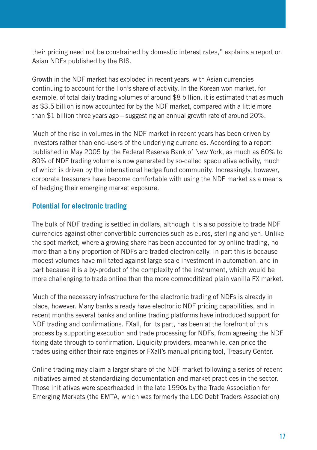their pricing need not be constrained by domestic interest rates," explains a report on Asian NDFs published by the BIS.

Growth in the NDF market has exploded in recent years, with Asian currencies continuing to account for the lion's share of activity. In the Korean won market, for example, of total daily trading volumes of around \$8 billion, it is estimated that as much as \$3.5 billion is now accounted for by the NDF market, compared with a little more than \$1 billion three years ago – suggesting an annual growth rate of around 20%.

Much of the rise in volumes in the NDF market in recent years has been driven by investors rather than end-users of the underlying currencies. According to a report published in May 2005 by the Federal Reserve Bank of New York, as much as 60% to 80% of NDF trading volume is now generated by so-called speculative activity, much of which is driven by the international hedge fund community. Increasingly, however, corporate treasurers have become comfortable with using the NDF market as a means of hedging their emerging market exposure.

#### **Potential for electronic trading**

The bulk of NDF trading is settled in dollars, although it is also possible to trade NDF currencies against other convertible currencies such as euros, sterling and yen. Unlike the spot market, where a growing share has been accounted for by online trading, no more than a tiny proportion of NDFs are traded electronically. In part this is because modest volumes have militated against large-scale investment in automation, and in part because it is a by-product of the complexity of the instrument, which would be more challenging to trade online than the more commoditized plain vanilla FX market.

Much of the necessary infrastructure for the electronic trading of NDFs is already in place, however. Many banks already have electronic NDF pricing capabilities, and in recent months several banks and online trading platforms have introduced support for NDF trading and confirmations. FXall, for its part, has been at the forefront of this process by supporting execution and trade processing for NDFs, from agreeing the NDF fixing date through to confirmation. Liquidity providers, meanwhile, can price the trades using either their rate engines or FXall's manual pricing tool, Treasury Center.

Online trading may claim a larger share of the NDF market following a series of recent initiatives aimed at standardizing documentation and market practices in the sector. Those initiatives were spearheaded in the late 1990s by the Trade Association for Emerging Markets (the EMTA, which was formerly the LDC Debt Traders Association)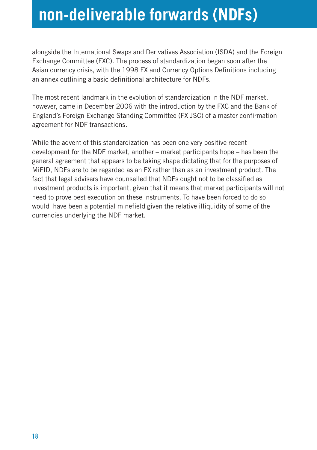### **non-deliverable forwards (NDFs)**

alongside the International Swaps and Derivatives Association (ISDA) and the Foreign Exchange Committee (FXC). The process of standardization began soon after the Asian currency crisis, with the 1998 FX and Currency Options Definitions including an annex outlining a basic definitional architecture for NDFs.

The most recent landmark in the evolution of standardization in the NDF market, however, came in December 2006 with the introduction by the FXC and the Bank of England's Foreign Exchange Standing Committee (FX JSC) of a master confirmation agreement for NDF transactions.

While the advent of this standardization has been one very positive recent development for the NDF market, another – market participants hope – has been the general agreement that appears to be taking shape dictating that for the purposes of MiFID, NDFs are to be regarded as an FX rather than as an investment product. The fact that legal advisers have counselled that NDFs ought not to be classified as investment products is important, given that it means that market participants will not need to prove best execution on these instruments. To have been forced to do so would have been a potential minefield given the relative illiquidity of some of the currencies underlying the NDF market.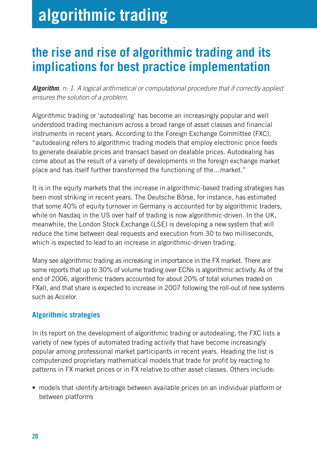## **algorithmic trading**

### **the rise and rise of algorithmic trading and its implications for best practice implementation**

**Algorithm**, n: 1. A logical arithmetical or computational procedure that if correctly applied ensures the solution of a problem.

Algorithmic trading or 'autodealing' has become an increasingly popular and well understood trading mechanism across a broad range of asset classes and financial instruments in recent years. According to the Foreign Exchange Committee (FXC), "autodealing refers to algorithmic trading models that employ electronic price feeds to generate dealable prices and transact based on dealable prices. Autodealing has come about as the result of a variety of developments in the foreign exchange market place and has itself further transformed the functioning of the…market."

It is in the equity markets that the increase in algorithmic-based trading strategies has been most striking in recent years. The Deutsche Börse, for instance, has estimated that some 40% of equity turnover in Germany is accounted for by algorithmic traders, while on Nasdaq in the US over half of trading is now algorithmic-driven. In the UK, meanwhile, the London Stock Exchange (LSE) is developing a new system that will reduce the time between deal requests and execution from 30 to two milliseconds, which is expected to lead to an increase in algorithmic-driven trading.

Many see algorithmic trading as increasing in importance in the FX market. There are some reports that up to 30% of volume trading over ECNs is algorithmic activity. As of the end of 2006, algorithmic traders accounted for about 20% of total volumes traded on FXall, and that share is expected to increase in 2007 following the roll-out of new systems such as Accelor.

#### **Algorithmic strategies**

In its report on the development of algorithmic trading or autodealing, the FXC lists a variety of new types of automated trading activity that have become increasingly popular among professional market participants in recent years. Heading the list is computerized proprietary mathematical models that trade for profit by reacting to patterns in FX market prices or in FX relative to other asset classes. Others include:

• models that identify arbitrage between available prices on an individual platform or between platforms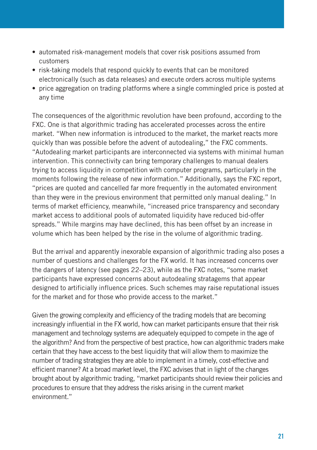- automated risk-management models that cover risk positions assumed from customers
- risk-taking models that respond quickly to events that can be monitored electronically (such as data releases) and execute orders across multiple systems
- price aggregation on trading platforms where a single commingled price is posted at any time

The consequences of the algorithmic revolution have been profound, according to the FXC. One is that algorithmic trading has accelerated processes across the entire market. "When new information is introduced to the market, the market reacts more quickly than was possible before the advent of autodealing," the FXC comments. "Autodealing market participants are interconnected via systems with minimal human intervention. This connectivity can bring temporary challenges to manual dealers trying to access liquidity in competition with computer programs, particularly in the moments following the release of new information." Additionally, says the FXC report, "prices are quoted and cancelled far more frequently in the automated environment than they were in the previous environment that permitted only manual dealing." In terms of market efficiency, meanwhile, "increased price transparency and secondary market access to additional pools of automated liquidity have reduced bid-offer spreads." While margins may have declined, this has been offset by an increase in volume which has been helped by the rise in the volume of algorithmic trading.

But the arrival and apparently inexorable expansion of algorithmic trading also poses a number of questions and challenges for the FX world. It has increased concerns over the dangers of latency (see pages 22–23), while as the FXC notes, "some market participants have expressed concerns about autodealing stratagems that appear designed to artificially influence prices. Such schemes may raise reputational issues for the market and for those who provide access to the market."

Given the growing complexity and efficiency of the trading models that are becoming increasingly influential in the FX world, how can market participants ensure that their risk management and technology systems are adequately equipped to compete in the age of the algorithm? And from the perspective of best practice, how can algorithmic traders make certain that they have access to the best liquidity that will allow them to maximize the number of trading strategies they are able to implement in a timely, cost-effective and efficient manner? At a broad market level, the FXC advises that in light of the changes brought about by algorithmic trading, "market participants should review their policies and procedures to ensure that they address the risks arising in the current market environment "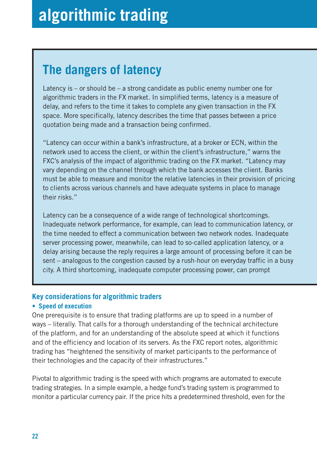### **The dangers of latency**

Latency is – or should be – a strong candidate as public enemy number one for algorithmic traders in the FX market. In simplified terms, latency is a measure of delay, and refers to the time it takes to complete any given transaction in the FX space. More specifically, latency describes the time that passes between a price quotation being made and a transaction being confirmed.

"Latency can occur within a bank's infrastructure, at a broker or ECN, within the network used to access the client, or within the client's infrastructure," warns the FXC's analysis of the impact of algorithmic trading on the FX market. "Latency may vary depending on the channel through which the bank accesses the client. Banks must be able to measure and monitor the relative latencies in their provision of pricing to clients across various channels and have adequate systems in place to manage their risks."

Latency can be a consequence of a wide range of technological shortcomings. Inadequate network performance, for example, can lead to communication latency, or the time needed to effect a communication between two network nodes. Inadequate server processing power, meanwhile, can lead to so-called application latency, or a delay arising because the reply requires a large amount of processing before it can be sent – analogous to the congestion caused by a rush-hour on everyday traffic in a busy city. A third shortcoming, inadequate computer processing power, can prompt

#### **Key considerations for algorithmic traders**

#### **• Speed of execution**

One prerequisite is to ensure that trading platforms are up to speed in a number of ways – literally. That calls for a thorough understanding of the technical architecture of the platform, and for an understanding of the absolute speed at which it functions and of the efficiency and location of its servers. As the FXC report notes, algorithmic trading has "heightened the sensitivity of market participants to the performance of their technologies and the capacity of their infrastructures."

Pivotal to algorithmic trading is the speed with which programs are automated to execute trading strategies. In a simple example, a hedge fund's trading system is programmed to monitor a particular currency pair. If the price hits a predetermined threshold, even for the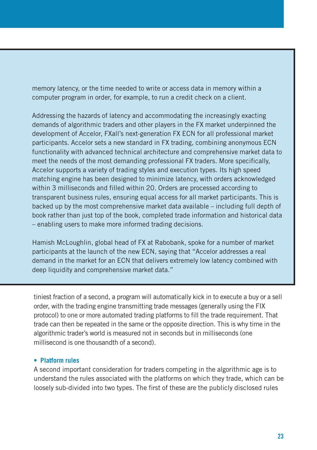memory latency, or the time needed to write or access data in memory within a computer program in order, for example, to run a credit check on a client.

Addressing the hazards of latency and accommodating the increasingly exacting demands of algorithmic traders and other players in the FX market underpinned the development of Accelor, FXall's next-generation FX ECN for all professional market participants. Accelor sets a new standard in FX trading, combining anonymous ECN functionality with advanced technical architecture and comprehensive market data to meet the needs of the most demanding professional FX traders. More specifically, Accelor supports a variety of trading styles and execution types. Its high speed matching engine has been designed to minimize latency, with orders acknowledged within 3 milliseconds and filled within 20. Orders are processed according to transparent business rules, ensuring equal access for all market participants. This is backed up by the most comprehensive market data available – including full depth of book rather than just top of the book, completed trade information and historical data – enabling users to make more informed trading decisions.

Hamish McLoughlin, global head of FX at Rabobank, spoke for a number of market participants at the launch of the new ECN, saying that "Accelor addresses a real demand in the market for an ECN that delivers extremely low latency combined with deep liquidity and comprehensive market data."

tiniest fraction of a second, a program will automatically kick in to execute a buy or a sell order, with the trading engine transmitting trade messages (generally using the FIX protocol) to one or more automated trading platforms to fill the trade requirement. That trade can then be repeated in the same or the opposite direction. This is why time in the algorithmic trader's world is measured not in seconds but in milliseconds (one millisecond is one thousandth of a second).

#### **• Platform rules**

A second important consideration for traders competing in the algorithmic age is to understand the rules associated with the platforms on which they trade, which can be loosely sub-divided into two types. The first of these are the publicly disclosed rules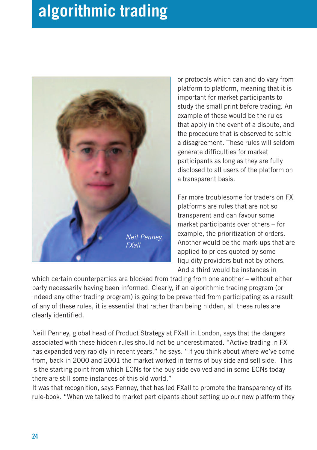## **algorithmic trading**



or protocols which can and do vary from platform to platform, meaning that it is important for market participants to study the small print before trading. An example of these would be the rules that apply in the event of a dispute, and the procedure that is observed to settle a disagreement. These rules will seldom generate difficulties for market participants as long as they are fully disclosed to all users of the platform on a transparent basis.

Far more troublesome for traders on FX platforms are rules that are not so transparent and can favour some market participants over others – for example, the prioritization of orders. Another would be the mark-ups that are applied to prices quoted by some liquidity providers but not by others. And a third would be instances in

which certain counterparties are blocked from trading from one another – without either party necessarily having been informed. Clearly, if an algorithmic trading program (or indeed any other trading program) is going to be prevented from participating as a result of any of these rules, it is essential that rather than being hidden, all these rules are clearly identified.

Neill Penney, global head of Product Strategy at FXall in London, says that the dangers associated with these hidden rules should not be underestimated. "Active trading in FX has expanded very rapidly in recent years," he says. "If you think about where we've come from, back in 2000 and 2001 the market worked in terms of buy side and sell side. This is the starting point from which ECNs for the buy side evolved and in some ECNs today there are still some instances of this old world."

It was that recognition, says Penney, that has led FXall to promote the transparency of its rule-book. "When we talked to market participants about setting up our new platform they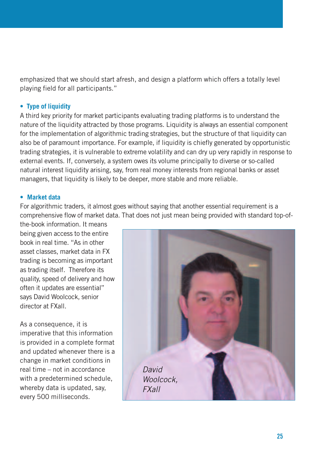emphasized that we should start afresh, and design a platform which offers a totally level playing field for all participants."

#### **• Type of liquidity**

A third key priority for market participants evaluating trading platforms is to understand the nature of the liquidity attracted by those programs. Liquidity is always an essential component for the implementation of algorithmic trading strategies, but the structure of that liquidity can also be of paramount importance. For example, if liquidity is chiefly generated by opportunistic trading strategies, it is vulnerable to extreme volatility and can dry up very rapidly in response to external events. If, conversely, a system owes its volume principally to diverse or so-called natural interest liquidity arising, say, from real money interests from regional banks or asset managers, that liquidity is likely to be deeper, more stable and more reliable.

#### **• Market data**

For algorithmic traders, it almost goes without saying that another essential requirement is a comprehensive flow of market data. That does not just mean being provided with standard top-of-

the-book information. It means being given access to the entire book in real time. "As in other asset classes, market data in FX trading is becoming as important as trading itself. Therefore its quality, speed of delivery and how often it updates are essential" says David Woolcock, senior director at FXall.

As a consequence, it is imperative that this information is provided in a complete format and updated whenever there is a change in market conditions in real time – not in accordance with a predetermined schedule. whereby data is updated, say, every 500 milliseconds.

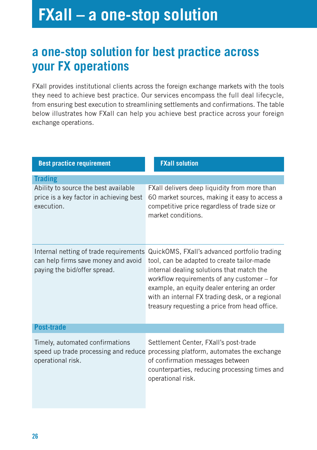## **FXall – a one-stop solution**

### **a one-stop solution for best practice across your FX operations**

FXall provides institutional clients across the foreign exchange markets with the tools they need to achieve best practice. Our services encompass the full deal lifecycle, from ensuring best execution to streamlining settlements and confirmations. The table below illustrates how FXall can help you achieve best practice across your foreign exchange operations.

| <b>Best practice requirement</b>                                                                              | <b>FXall solution</b>                                                                                                                                                                                                                                                                                                                     |  |
|---------------------------------------------------------------------------------------------------------------|-------------------------------------------------------------------------------------------------------------------------------------------------------------------------------------------------------------------------------------------------------------------------------------------------------------------------------------------|--|
| <b>Trading</b>                                                                                                |                                                                                                                                                                                                                                                                                                                                           |  |
| Ability to source the best available<br>price is a key factor in achieving best<br>execution.                 | FXall delivers deep liquidity from more than<br>60 market sources, making it easy to access a<br>competitive price regardless of trade size or<br>market conditions.                                                                                                                                                                      |  |
| Internal netting of trade requirements<br>can help firms save money and avoid<br>paying the bid/offer spread. | QuickOMS, FXall's advanced portfolio trading<br>tool, can be adapted to create tailor-made<br>internal dealing solutions that match the<br>workflow requirements of any customer – for<br>example, an equity dealer entering an order<br>with an internal FX trading desk, or a regional<br>treasury requesting a price from head office. |  |
| <b>Post-trade</b>                                                                                             |                                                                                                                                                                                                                                                                                                                                           |  |
| Timely, automated confirmations<br>speed up trade processing and reduce<br>operational risk.                  | Settlement Center, FXall's post-trade<br>processing platform, automates the exchange<br>of confirmation messages between<br>counterparties, reducing processing times and<br>operational risk.                                                                                                                                            |  |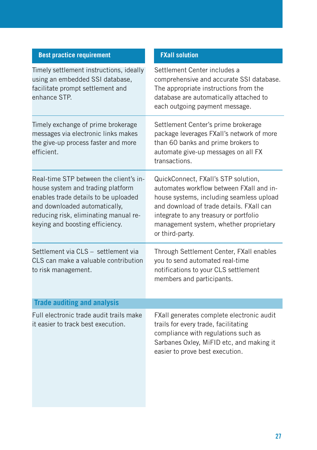| <b>Best practice requirement</b>                                                                                                                                                                                                 | <b>FXall solution</b>                                                                                                                                                                                                                                                          |
|----------------------------------------------------------------------------------------------------------------------------------------------------------------------------------------------------------------------------------|--------------------------------------------------------------------------------------------------------------------------------------------------------------------------------------------------------------------------------------------------------------------------------|
| Timely settlement instructions, ideally<br>using an embedded SSI database,<br>facilitate prompt settlement and<br>enhance STP.                                                                                                   | Settlement Center includes a<br>comprehensive and accurate SSI database.<br>The appropriate instructions from the<br>database are automatically attached to<br>each outgoing payment message.                                                                                  |
| Timely exchange of prime brokerage<br>messages via electronic links makes<br>the give-up process faster and more<br>efficient.                                                                                                   | Settlement Center's prime brokerage<br>package leverages FXall's network of more<br>than 60 banks and prime brokers to<br>automate give-up messages on all FX<br>transactions.                                                                                                 |
| Real-time STP between the client's in-<br>house system and trading platform<br>enables trade details to be uploaded<br>and downloaded automatically,<br>reducing risk, eliminating manual re-<br>keying and boosting efficiency. | QuickConnect, FXall's STP solution,<br>automates workflow between FXall and in-<br>house systems, including seamless upload<br>and download of trade details. FXall can<br>integrate to any treasury or portfolio<br>management system, whether proprietary<br>or third-party. |
| Settlement via CLS - settlement via<br>CLS can make a valuable contribution<br>to risk management.                                                                                                                               | Through Settlement Center, FXall enables<br>you to send automated real-time<br>notifications to your CLS settlement<br>members and participants.                                                                                                                               |
| <b>Trade auditing and analysis</b>                                                                                                                                                                                               |                                                                                                                                                                                                                                                                                |
| Full electronic trade audit trails make<br>it easier to track best execution.                                                                                                                                                    | FXall generates complete electronic audit<br>trails for every trade, facilitating<br>compliance with regulations such as<br>Sarbanes Oxley, MiFID etc, and making it<br>easier to prove best execution.                                                                        |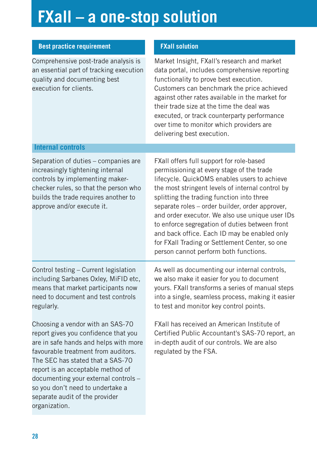# **FXall – a one-stop solution**

| <b>Best practice requirement</b>                                                                                                                                                                                                                                                                                                                                 | <b>FXall solution</b>                                                                                                                                                                                                                                                                                                                                                                                                                                                                                                                     |
|------------------------------------------------------------------------------------------------------------------------------------------------------------------------------------------------------------------------------------------------------------------------------------------------------------------------------------------------------------------|-------------------------------------------------------------------------------------------------------------------------------------------------------------------------------------------------------------------------------------------------------------------------------------------------------------------------------------------------------------------------------------------------------------------------------------------------------------------------------------------------------------------------------------------|
| Comprehensive post-trade analysis is<br>an essential part of tracking execution<br>quality and documenting best<br>execution for clients.                                                                                                                                                                                                                        | Market Insight, FXall's research and market<br>data portal, includes comprehensive reporting<br>functionality to prove best execution.<br>Customers can benchmark the price achieved<br>against other rates available in the market for<br>their trade size at the time the deal was<br>executed, or track counterparty performance<br>over time to monitor which providers are<br>delivering best execution.                                                                                                                             |
| <b>Internal controls</b>                                                                                                                                                                                                                                                                                                                                         |                                                                                                                                                                                                                                                                                                                                                                                                                                                                                                                                           |
| Separation of duties - companies are<br>increasingly tightening internal<br>controls by implementing maker-<br>checker rules, so that the person who<br>builds the trade requires another to<br>approve and/or execute it.                                                                                                                                       | FXall offers full support for role-based<br>permissioning at every stage of the trade<br>lifecycle. QuickOMS enables users to achieve<br>the most stringent levels of internal control by<br>splitting the trading function into three<br>separate roles - order builder, order approver,<br>and order executor. We also use unique user IDs<br>to enforce segregation of duties between front<br>and back office. Each ID may be enabled only<br>for FXall Trading or Settlement Center, so one<br>person cannot perform both functions. |
| Control testing - Current legislation<br>including Sarbanes Oxley, MiFID etc,<br>means that market participants now<br>need to document and test controls<br>regularly.                                                                                                                                                                                          | As well as documenting our internal controls,<br>we also make it easier for you to document<br>yours. FXall transforms a series of manual steps<br>into a single, seamless process, making it easier<br>to test and monitor key control points.                                                                                                                                                                                                                                                                                           |
| Choosing a vendor with an SAS-70<br>report gives you confidence that you<br>are in safe hands and helps with more<br>favourable treatment from auditors.<br>The SEC has stated that a SAS-70<br>report is an acceptable method of<br>documenting your external controls -<br>so you don't need to undertake a<br>separate audit of the provider<br>organization. | <b>FXall has received an American Institute of</b><br>Certified Public Accountant's SAS-70 report, an<br>in-depth audit of our controls. We are also<br>regulated by the FSA.                                                                                                                                                                                                                                                                                                                                                             |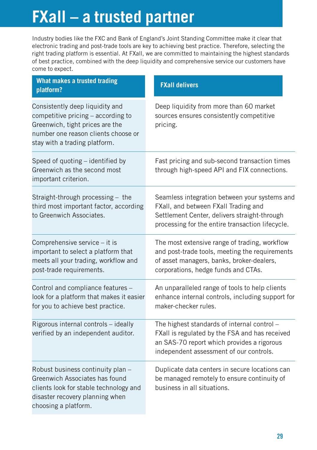## **FXall – a trusted partner**

Industry bodies like the FXC and Bank of England's Joint Standing Committee make it clear that electronic trading and post-trade tools are key to achieving best practice. Therefore, selecting the right trading platform is essential. At FXall, we are committed to maintaining the highest standards of best practice, combined with the deep liquidity and comprehensive service our customers have come to expect.

| What makes a trusted trading<br>platform?                                                                                                                                        | <b>FXall delivers</b>                                                                                                                                                                     |
|----------------------------------------------------------------------------------------------------------------------------------------------------------------------------------|-------------------------------------------------------------------------------------------------------------------------------------------------------------------------------------------|
| Consistently deep liquidity and<br>competitive pricing - according to<br>Greenwich, tight prices are the<br>number one reason clients choose or<br>stay with a trading platform. | Deep liquidity from more than 60 market<br>sources ensures consistently competitive<br>pricing.                                                                                           |
| Speed of quoting - identified by<br>Greenwich as the second most<br>important criterion.                                                                                         | Fast pricing and sub-second transaction times<br>through high-speed API and FIX connections.                                                                                              |
| Straight-through processing - the<br>third most important factor, according<br>to Greenwich Associates.                                                                          | Seamless integration between your systems and<br>FXall, and between FXall Trading and<br>Settlement Center, delivers straight-through<br>processing for the entire transaction lifecycle. |
| Comprehensive service - it is<br>important to select a platform that<br>meets all your trading, workflow and<br>post-trade requirements.                                         | The most extensive range of trading, workflow<br>and post-trade tools, meeting the requirements<br>of asset managers, banks, broker-dealers,<br>corporations, hedge funds and CTAs.       |
| Control and compliance features -<br>look for a platform that makes it easier<br>for you to achieve best practice.                                                               | An unparalleled range of tools to help clients<br>enhance internal controls, including support for<br>maker-checker rules.                                                                |
| Rigorous internal controls - ideally<br>verified by an independent auditor.                                                                                                      | The highest standards of internal control -<br>FXall is regulated by the FSA and has received<br>an SAS-70 report which provides a rigorous<br>independent assessment of our controls.    |
| Robust business continuity plan -<br>Greenwich Associates has found<br>clients look for stable technology and<br>disaster recovery planning when<br>choosing a platform.         | Duplicate data centers in secure locations can<br>be managed remotely to ensure continuity of<br>business in all situations.                                                              |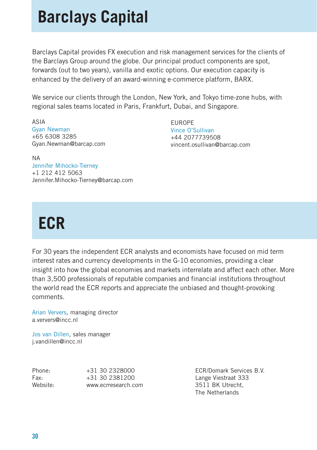## **Barclays Capital**

Barclays Capital provides FX execution and risk management services for the clients of the Barclays Group around the globe. Our principal product components are spot, forwards (out to two years), vanilla and exotic options. Our execution capacity is enhanced by the delivery of an award-winning e-commerce platform, BARX.

We service our clients through the London, New York, and Tokyo time-zone hubs, with regional sales teams located in Paris, Frankfurt, Dubai, and Singapore.

ASIA Gyan Newman +65 6308 3285 Gyan.Newman@barcap.com

EUROPE Vince O'Sullivan +44 2077739508 vincent.osullivan@barcap.com

NA Jennifer Mihocko-Tierney +1 212 412 5063 Jennifer.Mihocko-Tierney@barcap.com

## **ECR**

For 30 years the independent ECR analysts and economists have focused on mid term interest rates and currency developments in the G-10 economies, providing a clear insight into how the global economies and markets interrelate and affect each other. More than 3,500 professionals of reputable companies and financial institutions throughout the world read the ECR reports and appreciate the unbiased and thought-provoking comments.

Arian Ververs, managing director a.ververs@incc.nl

Jos van Dillen, sales manager j.vandillen@incc.nl

| Phone:   | +31 30 2328000      |
|----------|---------------------|
| Fax:     | +31 30 2381200      |
| Website: | www.ecrresearch.com |

ECR/Domark Services B.V. Lange Viestraat 333 3511 BK Utrecht. The Netherlands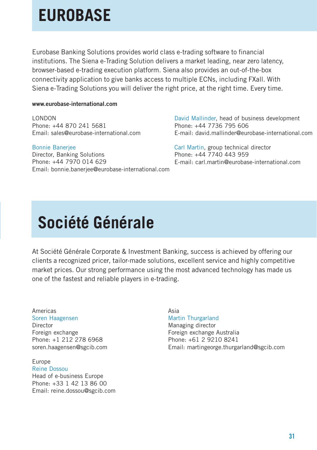## **EUROBASE**

Eurobase Banking Solutions provides world class e-trading software to financial institutions. The Siena e-Trading Solution delivers a market leading, near zero latency, browser-based e-trading execution platform. Siena also provides an out-of-the-box connectivity application to give banks access to multiple ECNs, including FXall. With Siena e-Trading Solutions you will deliver the right price, at the right time. Every time.

#### **www.eurobase-international.com**

LONDON Phone: +44 870 241 5681 Email: sales@eurobase-international.com

Bonnie Banerjee

Director, Banking Solutions Phone: +44 7970 014 629 Email: bonnie.banerjee@eurobase-international.com David Mallinder, head of business development Phone: +44 7736 795 606 E-mail: david.mallinder@eurobase-international.com

Carl Martin, group technical director Phone: +44 7740 443 959 E-mail: carl.martin@eurobase-international.com

## **Société Générale**

At Société Générale Corporate & Investment Banking, success is achieved by offering our clients a recognized pricer, tailor-made solutions, excellent service and highly competitive market prices. Our strong performance using the most advanced technology has made us one of the fastest and reliable players in e-trading.

Americas Soren Haagensen Director Foreign exchange Phone: +1 212 278 6968 soren.haagensen@sgcib.com

Europe Reine Dossou Head of e-business Europe Phone: +33 1 42 13 86 00 Email: reine.dossou@sgcib.com Asia Martin Thurgarland

Managing director Foreign exchange Australia Phone: +61 2 9210 8241 Email: martingeorge.thurgarland@sgcib.com